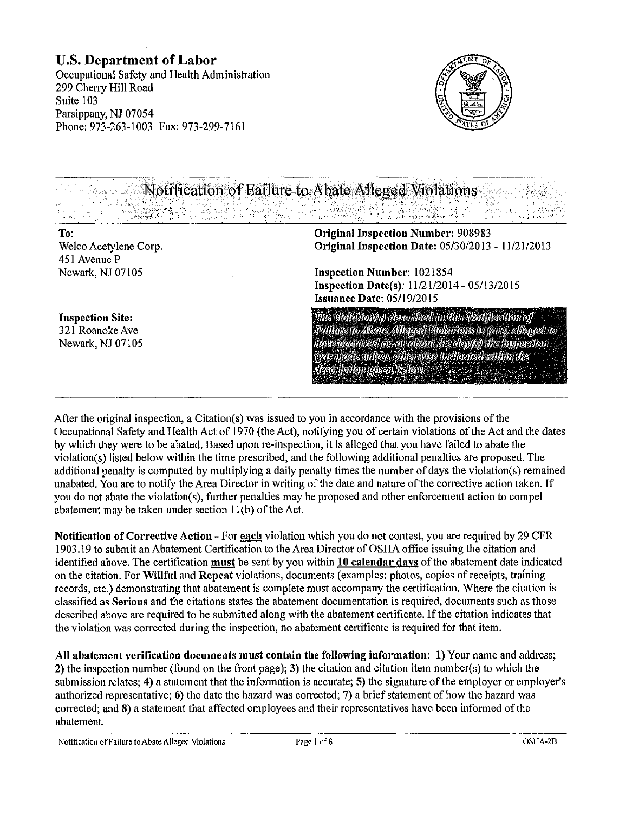## U.S. Department of Labor

Occupational Safety and Health Administration 299 Cherry Hill Road Suite 103 Parsippany, NJ 07054 Phone: 973-263-1003 Fax: 973-299-7161

> ":·-\_;·\_.:.  $\cdot$   $\cdot$   $\cdot$   $\cdot$   $\cdot$   $\cdot$



Notification of Failure to Abate Alleged Violations

#### To: Welco Acetylene Corp. 451 Avenue P Newark, NJ 07105

Original Inspection Number: 908983 Original Inspection Date: 05/30/2013- 11/21/2013

자료 등을 가수 있다. 바람

Inspection Number: 1021854 Inspection Date(s): 11/21/2014- 05/13/2015 Issuance Date: 05/19/2015

Tilte vitelletteet(ky) elesettilleed in tiliks Nettfleedton of .<br>|Reillmæto Albata Alltagad| Pholothous is ((ene)) alltagad (to lieve ogen red on or alron the depts) the tropeanon was mede milass ofhensise indicated within the " desemption given below.

Inspection Site: 321 Roanoke Ave Newark, NJ 07105

After the original inspection, a Citation(s) was issued to you in accordance with the provisions of the Occupational Safety and Health Act of 1970 (the Act), notifying you of certain violations of the Act and the dates by which they were to be abated. Based upon re-inspection, it is alleged that you have failed to abate the violation(s) listed below within the time prescribed, and the following additional penalties are proposed. The additional penalty is computed by multiplying a daily penalty times the number of days the violation(s) remained unabated. You are to notify the Area Director in writing of the date and nature of the corrective action taken. If you do not abate the violation(s), further penalties may be proposed and other enforcement action to compel abatement may be taken under section  $11(b)$  of the Act.

Notification of Corrective Action- For each violation which you do not contest, you are required by 29 CFR 1903.19 to submit an Abatement Certification to the Area Director of OSHA office issuing the citation and identified above. The certification must be sent by you within 10 calendar days of the abatement date indicated on the citation. For Willful and Repeat violations, documents (examples: photos, copies of receipts, training records, etc.) demonstrating that abatement is complete must accompany the certification. Where the citation is classified as Serious and the citations states the abatement documentation is required, documents such as those described above are required to be submitted along with the abatement certificate. If the citation indicates that the violation was corrected during the inspection, no abatement certificate is required for that item.

All abatement verification documents must contain the following information: 1) Your name and address; 2) the inspection number (found on the front page); 3) the citation and citation item number(s) to which the submission relates; 4) a statement that the information is accurate; 5) the signature of the employer or employer's authorized representative; 6) the date the hazard was corrected; 7) a brief statement of how the hazard was corrected; and 8) a statement that affected employees and their representatives have been informed of the abatement.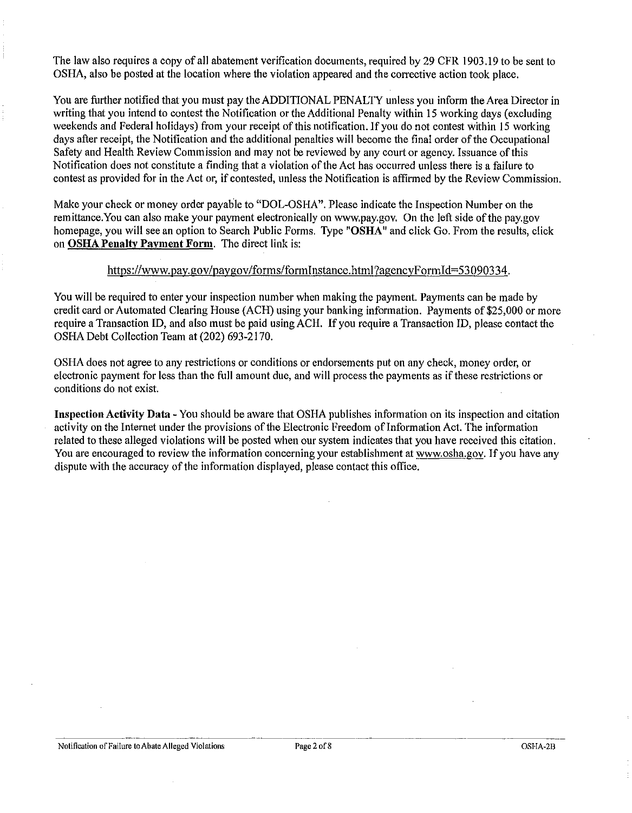The law also requires a copy of all abatement verification documents, required by 29 CFR 1903 .19 to be sent to OSHA, also be posted at the location where the violation appeared and the corrective action took place.

You are further notified that you must pay the ADDITIONAL PENALTY unless you inform the Area Director in writing that you intend to contest the Notification or the Additional Penalty within 15 working days (excluding weekends and Federal holidays) from your receipt of this notification. If you do not contest within 15 working days after receipt, the Notification and the additional penalties will become the final order of the Occupational Safety and Health Review Commission and may not be reviewed by any court or agency. Issuance of this Notification does not constitute a finding that a violation of the Act has occurred unless there is a failure to contest as provided for in the Act or, if contested, unless the Notification is affirmed by the Review Commission.

Make your check or money order payable to "DOL-OSHA". Please indicate the Inspection Number on the remittance. You can also make your payment electronically on www.pay.gov. On the left side of the pay.gov homepage, you will see an option to Search Public Forms. Type **"OSHA"** and click Go. From the results, click on **OSHA Penalty Payment Form.** The direct link is:

#### https://www.pay.gov/paygov/forms/formlnstance.html?agencyFormid=53090334.

You will be required to enter your inspection number when making the payment. Payments can be made by credit card or Automated Clearing House (ACH) using your banking information. Payments of \$25,000 or more require a Transaction ID, and also must be paid using ACH. If you require a Transaction ID, please contact the OSHA Debt Collection Team at (202) 693-2170.

OSHA does not agree to any restrictions or conditions or endorsements put on any check, money order, or electronic payment for less than the full amount due, and will process the payments as if these restrictions or conditions do not exist.

**Inspection Activity Data-** You should be aware that OSHA publishes information on its inspection and citation activity on the Internet under the provisions of the Electronic Freedom of Information Act. The information related to these alleged violations will be posted when our system indicates that you have received this citation. You are encouraged to review the information concerning your establishment at www.osha.gov. If you have any dispute with the accuracy of the information displayed, please contact this office.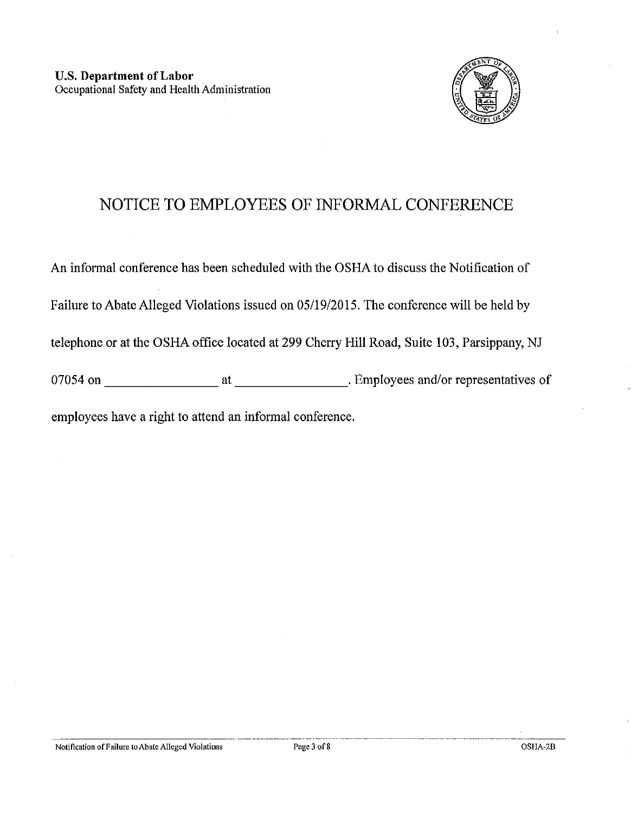

# NOTICE **TO** EMPLOYEES OF INFORMAL CONFERENCE

An informal conference has been scheduled with the OSHA to discuss the Notification of Failure to Abate Alleged Violations issued on 05/19/2015. The conference will be held by telephone or at the OSHA office located at 299 Cherry Hill Road, Suite 103, Parsippany, NJ 07054 on \_\_\_\_\_\_\_\_ at \_\_\_\_\_\_\_\_ . Employees and/or representatives of employees have a right to attend an informal conference.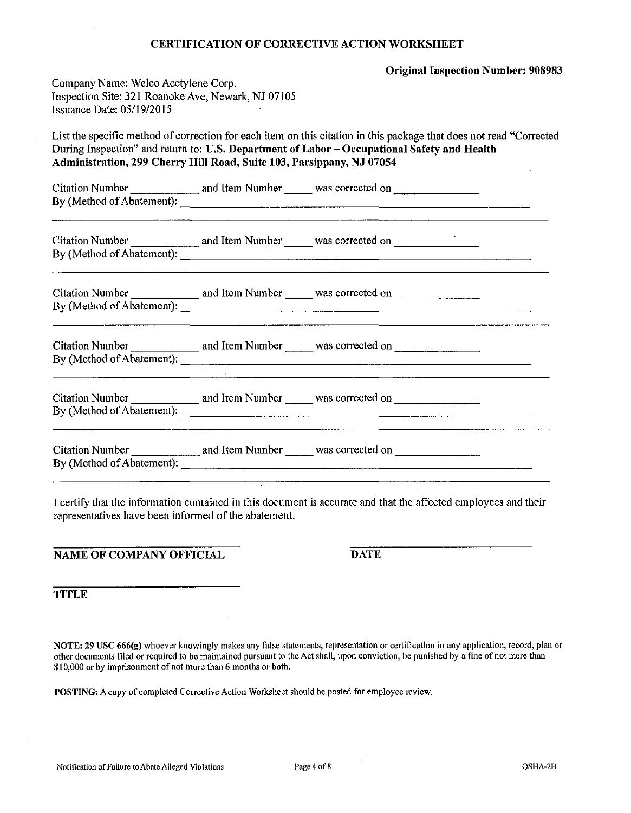#### CERTIFICATION OF CORRECTIVE ACTION WORKSHEET

Original Inspection Number: 908983

| Company Name: Welco Acetylene Corp.                |  |
|----------------------------------------------------|--|
| Inspection Site: 321 Roanoke Ave, Newark, NJ 07105 |  |
| Issuance Date: 05/19/2015                          |  |

List the specific method of correction for each item on this citation in this package that does not read "Corrected During Inspection" and return to: U.S. Department of Labor- Occupational Safety and Health Administration, 299 Cherry Hill Road, Suite 103, Parsippany, NJ 07054

Citation Number and Item Number 2014 and Item 2014 By (Method of Abatement):-------------------------

| Citation Number           | and Item Number | was corrected on |  |
|---------------------------|-----------------|------------------|--|
| By (Method of Abatement): |                 |                  |  |

 $Citation$  Number  $\frac{1}{\sqrt{1-\frac{1}{\sqrt{1-\frac{1}{\sqrt{1-\frac{1}{\sqrt{1-\frac{1}{\sqrt{1-\frac{1}{\sqrt{1-\frac{1}{\sqrt{1-\frac{1}{\sqrt{1-\frac{1}{\sqrt{1-\frac{1}{\sqrt{1-\frac{1}{\sqrt{1-\frac{1}{\sqrt{1-\frac{1}{\sqrt{1-\frac{1}{\sqrt{1-\frac{1}{\sqrt{1-\frac{1}{\sqrt{1-\frac{1}{\sqrt{1-\frac{1}{\sqrt{1-\frac{1}{\sqrt{1-\frac{1}{\sqrt{1-\frac{1}{\sqrt{1-\frac{1}{\sqrt{1-\frac{1}{\sqrt{1-\$ By (Method of Abatement):-------------------------

| Citation Number           | and Item Number | was corrected on |
|---------------------------|-----------------|------------------|
| By (Method of Abatement): |                 |                  |

 $Citation Number$  and Item Number was corrected on  $\frac{1}{\sqrt{1-\frac{1}{n}}}\$ By (Method of Abatement):-------------------------

Citation Number.---.,--- and Item Number was corrected on \_\_\_\_\_\_ \_ By (Method of Abatement):

I certify that the information contained in this document is accurate and that the affected employees and their representatives have been informed of the abatement.

NAME OF COMPANY OFFICIAL DATE

**TITLE** 

NOTE: 29 USC 666(g) whoever knowingly makes any false statements, representation or certification in any application, record, plan or other documents filed or required to be maintained pursuant to the Act shall, upon conviction, be punished by a fine of not more than \$10,000 or by imprisonment of not more than 6 months or both.

POSTING: A copy of completed Corrective Action Worksheet should be posted for employee review.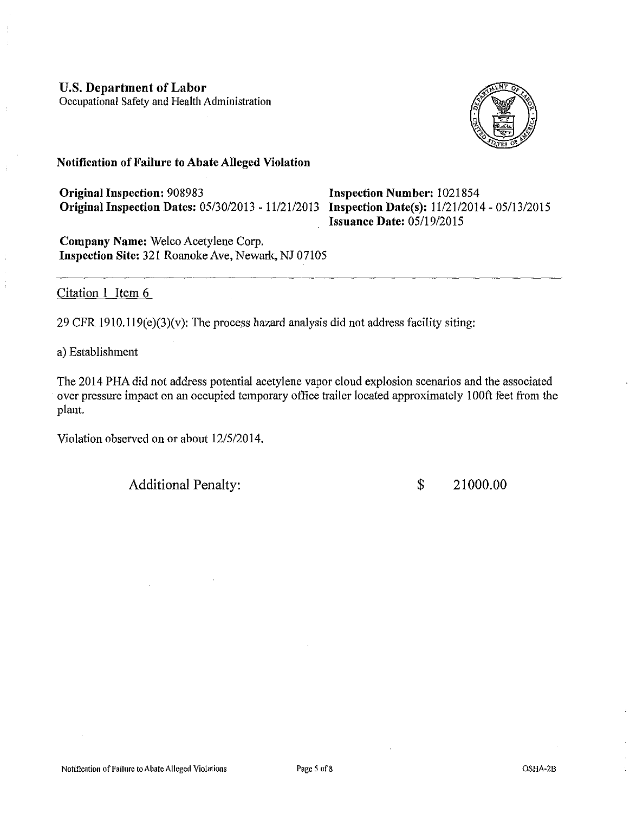### **U.S. Department of Labor**

Occupational Safety and Health Administration



### **Notification of Failure to Abate Alleged Violation**

**Original Inspection:** 908983 **Original Inspection Dates:** 05/30/2013- 11121/2013 **Inspection Date(s):** 11/2112014-05/13/2015

**Inspection Number:** 1021854 **Issuance Date:** 05/19/2015

**Company Name:** Welco Acetylene Corp. **Inspection Site:** 321 Roanoke Ave, Newark, NJ 07105

### Citation **1** Item 6

29 CFR  $1910.119(e)(3)(v)$ : The process hazard analysis did not address facility siting:

a) Establishment

The 2014 PHA did not address potential acetylene vapor cloud explosion scenarios and the associated over pressure impact on an occupied temporary office trailer located approximately I OOft feet from the plant.

Violation observed on or about 12/5/2014.

Additional Penalty:  $$ 21000.00$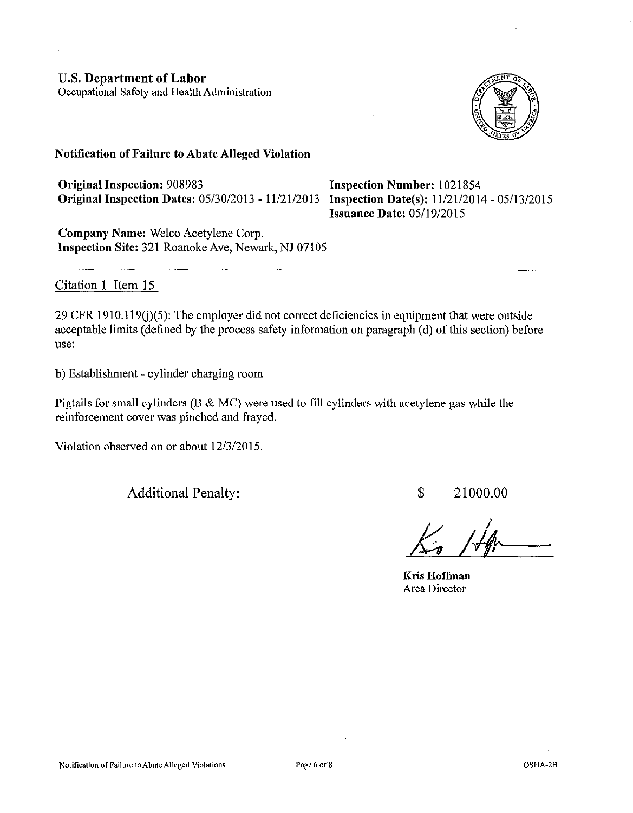

### **Notification of Failure to Abate Alleged Violation**

**Original Inspection: 908983 Inspection Number: 1021854 Originallnspection Dates:** 05/30/2013- 11/21/2013 **Inspection Date(s):** 11/21/2014-05/13/2015

**Issuance Date:** 05/19/2015

**Company Name:** Welco Acetylene Corp. **Inspection Site:** 321 Roanoke Ave, Newark, NJ 07105

## Citation 1 Item 15

29 CFR 1910.119 $(j)(5)$ : The employer did not correct deficiencies in equipment that were outside acceptable limits (defined by the process safety information on paragraph (d) of this section) before use:

b) Establishment- cylinder charging room

Pigtails for small cylinders (B & MC) were used to fill cylinders with acetylene gas while the reinforcement cover was pinched and frayed.

Violation observed on or about 12/3/2015.

Additional Penalty:

\$ 21000.00

**Kris Hoffman**  Area Director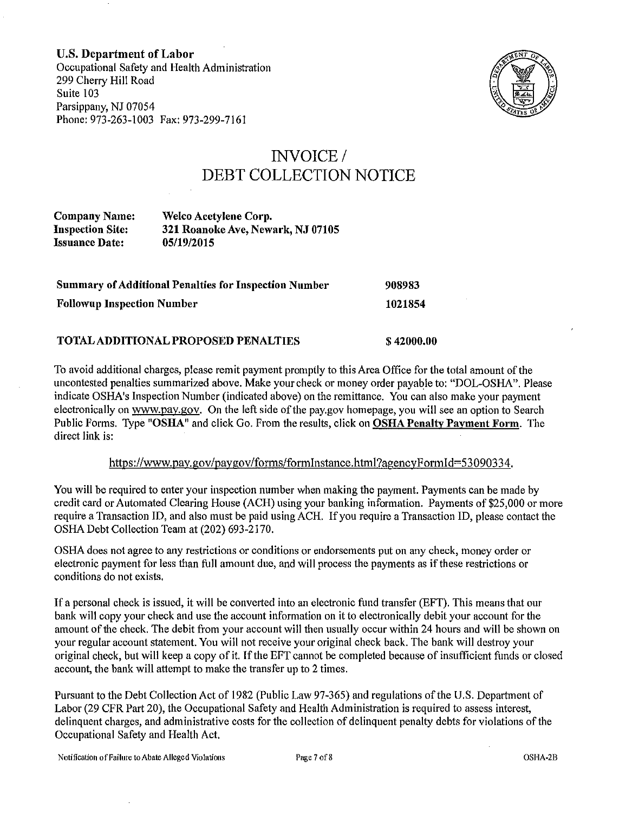U.S. Department of Labor Occupational Safety and Health Administration 299 Cherry Hill Road Suite 103 Parsippany, NJ 07054 Phone: 973-263-1003 Fax: 973-299-7161



# INVOICE/ DEBT COLLECTION NOTICE

Company Name: Inspection Site: Issuance Date: Welco Acetylene Corp. 321 Roanoke Ave, Newark, NJ 07105 05/19/2015

| <b>Summary of Additional Penalties for Inspection Number</b> | 908983  |
|--------------------------------------------------------------|---------|
| <b>Followup Inspection Number</b>                            | 1021854 |
|                                                              |         |

### TOTAL ADDITIONAL PROPOSED PENALTIES

To avoid additional charges, please remit payment promptly to this Area Office for the total amount of the uncontested penalties summarized above. Make your check or money order payable to: "DOL-OSHA". Please indicate OSHA's Inspection Number (indicated above) on the remittance. You can also make your payment electronically on www.pay.gov. On the left side of the pay.gov homepage, you will see an option to Search Public Forms. Type "OSHA" and click Go. From the results, click on OSHA Penalty Payment Form. The direct link is:

\$42000.00

### https://www.pay.gov/paygov/forms/formlnstance.html?agencyFormid=53090334.

You will be required to enter your inspection number when making the payment. Payments can be made by credit card or Automated Clearing House (ACH) using your banking information. Payments of \$25,000 or more require a Transaction ID, and also must be paid using ACH. If you require a Transaction ID, please contact the OSHA Debt Collection Team at (202) 693-2170.

OSHA does not agree to any restrictions or conditions or endorsements put on any check, money order or electronic payment for less than full amount due, and will process the payments as if these restrictions or conditions do not exists.

If a personal check is issued, it will be converted into an electronic fund transfer (EFT). This means that our bank will copy your check and use the account information on it to electronically debit your account for the amount of the check. The debit from your account will then usually occur within 24 hours and will be shown on your regular account statement. You will not receive your original check back. The bank will destroy your original check, but will keep a copy of it. If the EFT cannot be completed because of insufficient funds or closed account, the bank will attempt to make the transfer up to 2 times.

Pursuant to the Debt Collection Act of 1982 (Public Law 97-365) and regulations of the U.S. Department of Labor (29 CFR Part 20), the Occupational Safety and Health Administration is required to assess interest, delinquent charges, and administrative costs for the collection of delinquent penalty debts for violations of the Occupational Safety and Health Act.